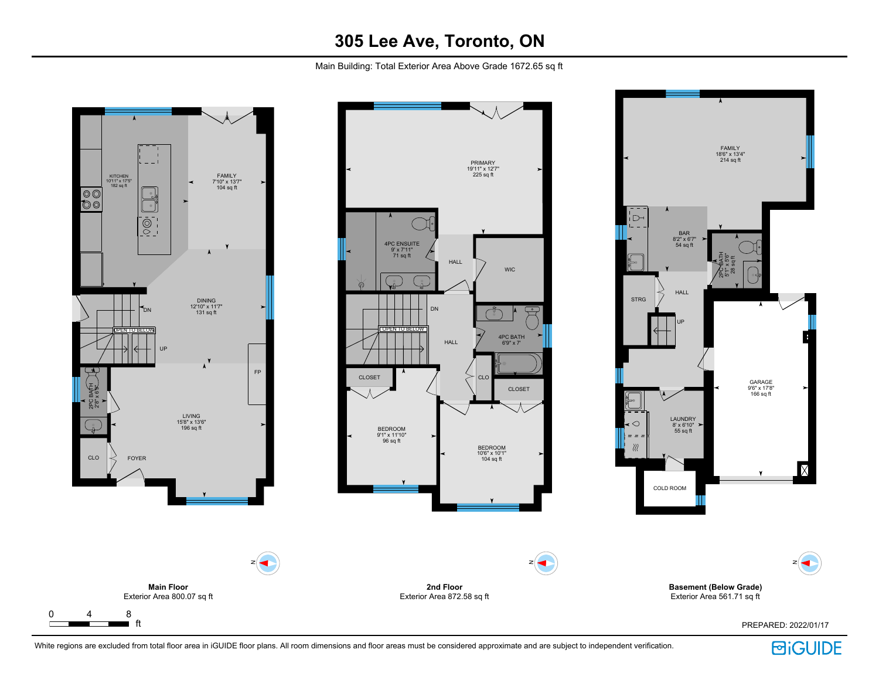Main Building: Total Exterior Area Above Grade 1672.65 sq ft







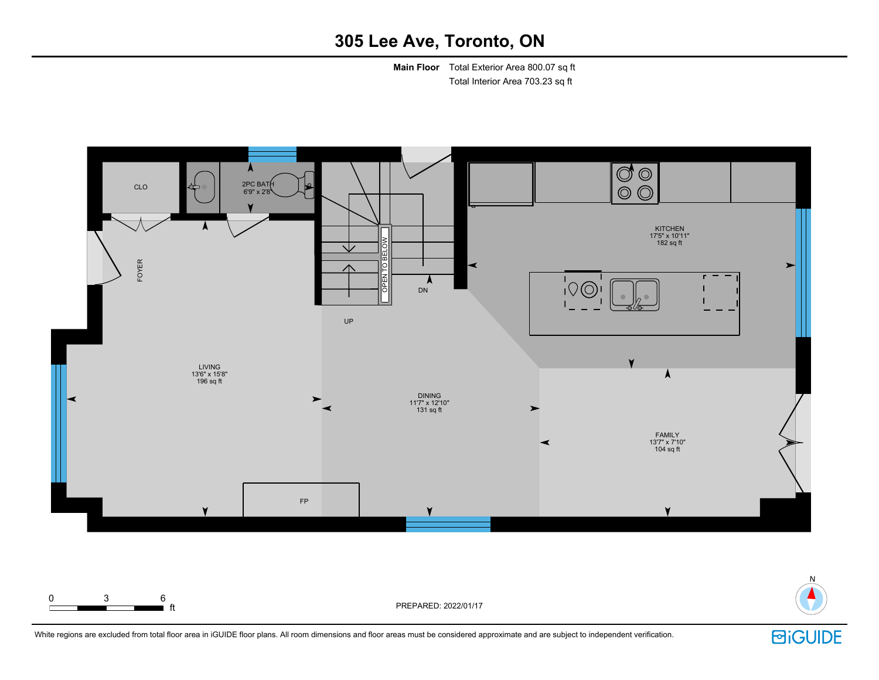**Main Floor** Total Exterior Area 800.07 sq ft Total Interior Area 703.23 sq ft





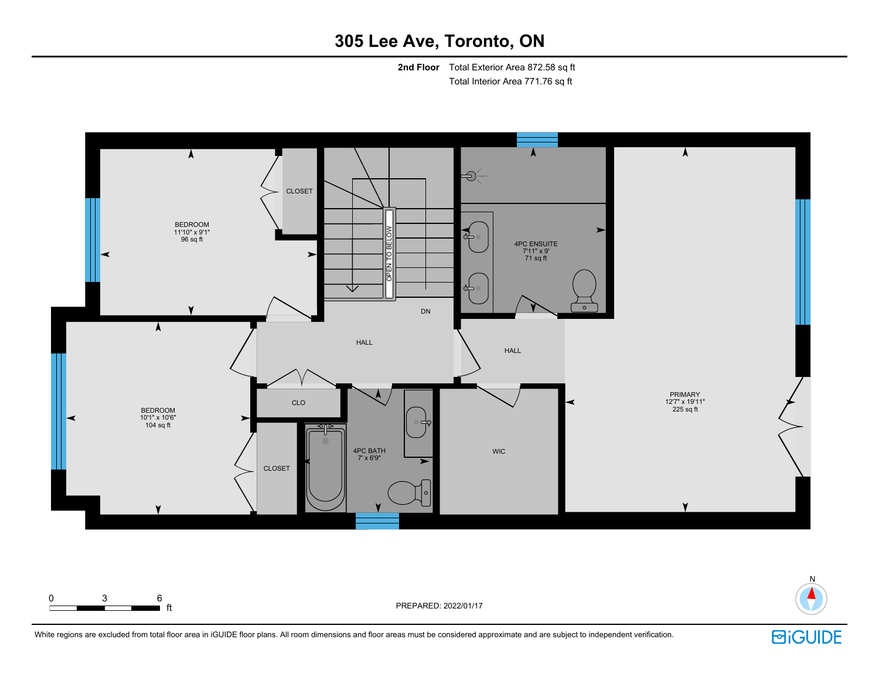**2nd Floor** Total Exterior Area 872.58 sq ft Total Interior Area 771.76 sq ft





White regions are excluded from total floor area in iGUIDE floor plans. All room dimensions and floor areas must be considered approximate and are subject to independent verification.

 $\blacksquare$  ft  $\blacksquare$ 

0 3 6

**回iGUIDE**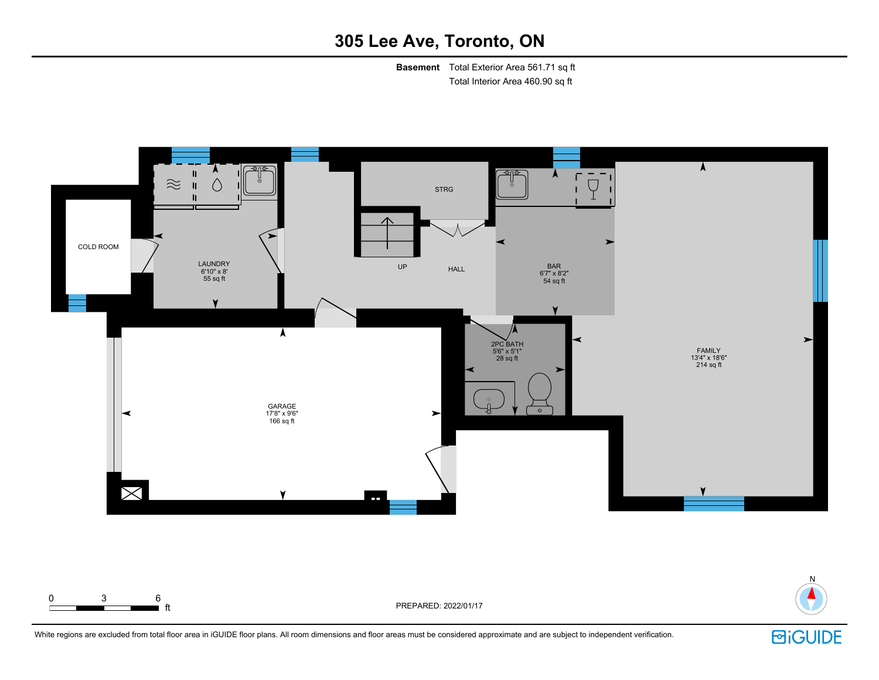**Basement** Total Exterior Area 561.71 sq ft Total Interior Area 460.90 sq ft



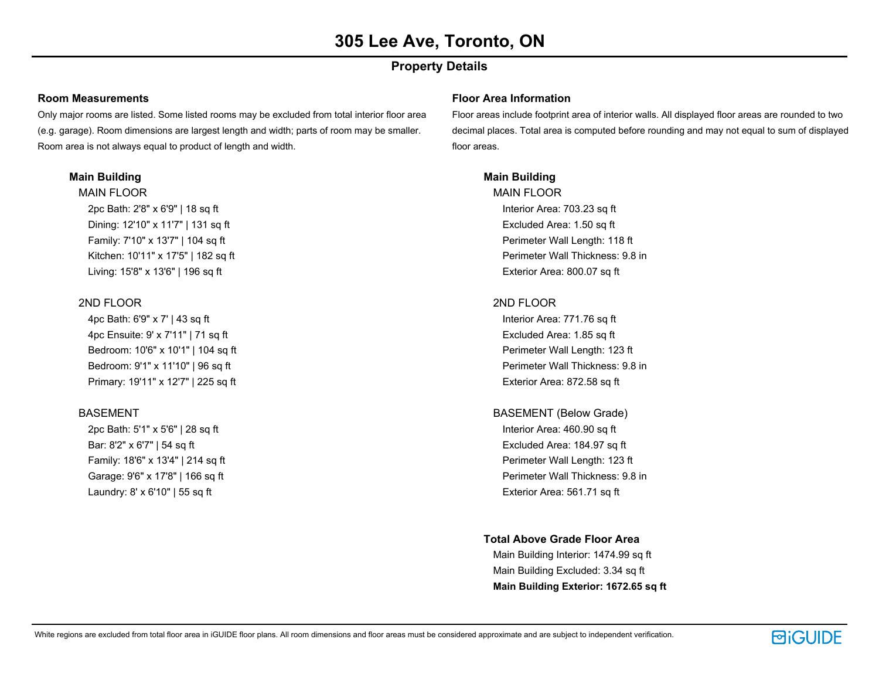### **Property Details**

#### **Room Measurements**

Only major rooms are listed. Some listed rooms may be excluded from total interior floor area (e.g. garage). Room dimensions are largest length and width; parts of room may be smaller. Room area is not always equal to product of length and width.

#### **Main Building**

MAIN FLOOR 2pc Bath: 2'8" x 6'9" | 18 sq ft

Dining: 12'10" x 11'7" | 131 sq ft Family: 7'10" x 13'7" | 104 sq ft Kitchen: 10'11" x 17'5" | 182 sq ft Living: 15'8" x 13'6" | 196 sq ft

#### 2ND FLOOR

4pc Bath: 6'9" x 7' | 43 sq ft 4pc Ensuite: 9' x 7'11" | 71 sq ft Bedroom: 10'6" x 10'1" | 104 sq ft Bedroom: 9'1" x 11'10" | 96 sq ft Primary: 19'11" x 12'7" | 225 sq ft

#### BASEMENT

2pc Bath: 5'1" x 5'6" | 28 sq ft Bar: 8'2" x 6'7" | 54 sq ft Family: 18'6" x 13'4" | 214 sq ft Garage: 9'6" x 17'8" | 166 sq ft Laundry: 8' x 6'10" | 55 sq ft

#### **Floor Area Information**

Floor areas include footprint area of interior walls. All displayed floor areas are rounded to two decimal places. Total area is computed before rounding and may not equal to sum of displayed floor areas.

#### **Main Building**

MAIN FLOOR Interior Area: 703.23 sq ft Excluded Area: 1.50 sq ft Perimeter Wall Length: 118 ft Perimeter Wall Thickness: 9.8 in Exterior Area: 800.07 sq ft

#### 2ND FLOOR

Interior Area: 771.76 sq ft Excluded Area: 1.85 sq ft Perimeter Wall Length: 123 ft Perimeter Wall Thickness: 9.8 in Exterior Area: 872.58 sq ft

BASEMENT (Below Grade)

Interior Area: 460.90 sq ft Excluded Area: 184.97 sq ft Perimeter Wall Length: 123 ft Perimeter Wall Thickness: 9.8 in Exterior Area: 561.71 sq ft

**Total Above Grade Floor Area**

Main Building Interior: 1474.99 sq ft Main Building Excluded: 3.34 sq ft **Main Building Exterior: 1672.65 sq ft**